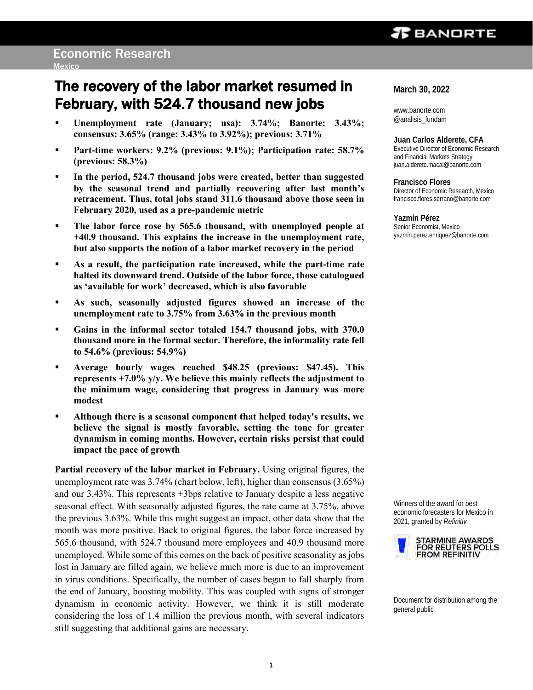## $\boldsymbol{x}$  bandrte

# The recovery of the labor market resumed in February, with 524.7 thousand new jobs

- **Unemployment rate (January; nsa): 3.74%; Banorte: 3.43%; consensus: 3.65% (range: 3.43% to 3.92%); previous: 3.71%**
- **Part-time workers: 9.2% (previous: 9.1%); Participation rate: 58.7% (previous: 58.3%)**
- **In the period, 524.7 thousand jobs were created, better than suggested by the seasonal trend and partially recovering after last month's retracement. Thus, total jobs stand 311.6 thousand above those seen in February 2020, used as a pre-pandemic metric**
- **The labor force rose by 565.6 thousand, with unemployed people at +40.9 thousand. This explains the increase in the unemployment rate, but also supports the notion of a labor market recovery in the period**
- **As a result, the participation rate increased, while the part-time rate halted its downward trend. Outside of the labor force, those catalogued as 'available for work' decreased, which is also favorable**
- **As such, seasonally adjusted figures showed an increase of the unemployment rate to 3.75% from 3.63% in the previous month**
- Gains in the informal sector totaled 154.7 thousand jobs, with 370.0 **thousand more in the formal sector. Therefore, the informality rate fell to 54.6% (previous: 54.9%)**
- **Average hourly wages reached \$48.25 (previous: \$47.45). This represents +7.0% y/y. We believe this mainly reflects the adjustment to the minimum wage, considering that progress in January was more modest**
- **Although there is a seasonal component that helped today's results, we believe the signal is mostly favorable, setting the tone for greater dynamism in coming months. However, certain risks persist that could impact the pace of growth**

**Partial recovery of the labor market in February.** Using original figures, the unemployment rate was 3.74% (chart below, left), higher than consensus (3.65%) and our 3.43%. This represents +3bps relative to January despite a less negative seasonal effect. With seasonally adjusted figures, the rate came at 3.75%, above the previous 3.63%. While this might suggest an impact, other data show that the month was more positive. Back to original figures, the labor force increased by 565.6 thousand, with 524.7 thousand more employees and 40.9 thousand more unemployed. While some of this comes on the back of positive seasonality as jobs lost in January are filled again, we believe much more is due to an improvement in virus conditions. Specifically, the number of cases began to fall sharply from the end of January, boosting mobility. This was coupled with signs of stronger dynamism in economic activity. However, we think it is still moderate considering the loss of 1.4 million the previous month, with several indicators still suggesting that additional gains are necessary.

**March 30, 2022**

www.banorte.com @analisis\_fundam

**Juan Carlos Alderete, CFA** Executive Director of Economic Research and Financial Markets Strategy juan.alderete.macal@banorte.com

**Francisco Flores** Director of Economic Research, Mexico francisco.flores.serrano@banorte.com

**Yazmín Pérez** Senior Economist, Mexico yazmin.perez.enriquez@banorte.com

Winners of the award for best economic forecasters for Mexico in 2021, granted by *Refinitiv*



Document for distribution among the general public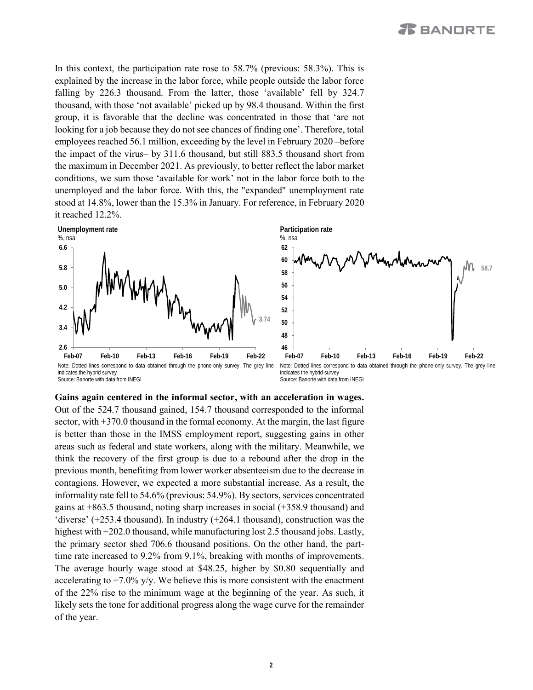In this context, the participation rate rose to 58.7% (previous: 58.3%). This is explained by the increase in the labor force, while people outside the labor force falling by 226.3 thousand. From the latter, those 'available' fell by 324.7 thousand, with those 'not available' picked up by 98.4 thousand. Within the first group, it is favorable that the decline was concentrated in those that 'are not looking for a job because they do not see chances of finding one'. Therefore, total employees reached 56.1 million, exceeding by the level in February 2020 –before the impact of the virus– by 311.6 thousand, but still 883.5 thousand short from the maximum in December 2021. As previously, to better reflect the labor market conditions, we sum those 'available for work' not in the labor force both to the unemployed and the labor force. With this, the "expanded" unemployment rate stood at 14.8%, lower than the 15.3% in January. For reference, in February 2020 it reached 12.2%.



**Participation rate** %, nsa **58.7 46 48 50 52 54 56 58 60 62**

Note: Dotted lines correspond to data obtained through the phone-only survey. The grey line indicates the hybrid survey Source: Banorte with data from INEGI



### **Gains again centered in the informal sector, with an acceleration in wages.**

Out of the 524.7 thousand gained, 154.7 thousand corresponded to the informal sector, with  $+370.0$  thousand in the formal economy. At the margin, the last figure is better than those in the IMSS employment report, suggesting gains in other areas such as federal and state workers, along with the military. Meanwhile, we think the recovery of the first group is due to a rebound after the drop in the previous month, benefiting from lower worker absenteeism due to the decrease in contagions. However, we expected a more substantial increase. As a result, the informality rate fell to 54.6% (previous: 54.9%). By sectors, services concentrated gains at +863.5 thousand, noting sharp increases in social (+358.9 thousand) and 'diverse'  $(+253.4$  thousand). In industry  $(+264.1$  thousand), construction was the highest with +202.0 thousand, while manufacturing lost 2.5 thousand jobs. Lastly, the primary sector shed 706.6 thousand positions. On the other hand, the parttime rate increased to 9.2% from 9.1%, breaking with months of improvements. The average hourly wage stood at \$48.25, higher by \$0.80 sequentially and accelerating to  $+7.0\%$  y/y. We believe this is more consistent with the enactment of the 22% rise to the minimum wage at the beginning of the year. As such, it likely sets the tone for additional progress along the wage curve for the remainder of the year.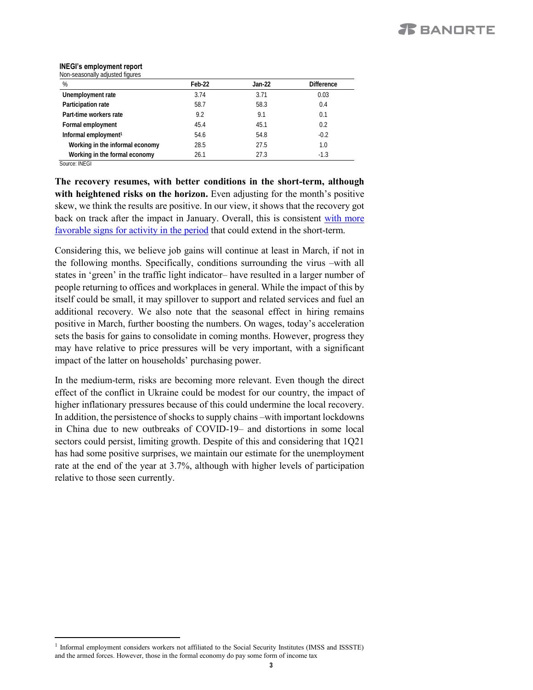#### **INEGI's employment report** Non-seasonally adjusted figures

| %                                | Feb-22 | Jan-22 | <b>Difference</b> |
|----------------------------------|--------|--------|-------------------|
| Unemployment rate                | 3.74   | 3.71   | 0.03              |
| Participation rate               | 58.7   | 58.3   | 0.4               |
| Part-time workers rate           | 9.2    | 9.1    | 0.1               |
| Formal employment                | 45.4   | 45.1   | 0.2               |
| Informal employment <sup>1</sup> | 54.6   | 54.8   | $-0.2$            |
| Working in the informal economy  | 28.5   | 27.5   | 1.0               |
| Working in the formal economy    | 26.1   | 27.3   | $-1.3$            |

Source: INEGI

 $\overline{a}$ 

**The recovery resumes, with better conditions in the short-term, although with heightened risks on the horizon.** Even adjusting for the month's positive skew, we think the results are positive. In our view, it shows that the recovery got back on track after the impact in January. Overall, this is consistent with [more](https://www.banorte.com/cms/casadebolsabanorteixe/analisisyestrategia/analisiseconomico/mexico/20220322_Timely_Indicator_Feb.pdf) [favorable](https://www.banorte.com/cms/casadebolsabanorteixe/analisisyestrategia/analisiseconomico/mexico/20220322_Timely_Indicator_Feb.pdf) signs for activity in the period that could extend in the short-term.

Considering this, we believe job gains will continue at least in March, if not in the following months. Specifically, conditions surrounding the virus –with all states in 'green' in the traffic light indicator– have resulted in a larger number of people returning to offices and workplaces in general. While the impact of this by itself could be small, it may spillover to support and related services and fuel an additional recovery. We also note that the seasonal effect in hiring remains positive in March, further boosting the numbers. On wages, today's acceleration sets the basis for gains to consolidate in coming months. However, progress they may have relative to price pressures will be very important, with a significant impact of the latter on households' purchasing power.

In the medium-term, risks are becoming more relevant. Even though the direct effect of the conflict in Ukraine could be modest for our country, the impact of higher inflationary pressures because of this could undermine the local recovery. In addition, the persistence of shocks to supply chains –with important lockdowns in China due to new outbreaks of COVID-19– and distortions in some local sectors could persist, limiting growth. Despite of this and considering that 1Q21 has had some positive surprises, we maintain our estimate for the unemployment rate at the end of the year at 3.7%, although with higher levels of participation relative to those seen currently.

<sup>&</sup>lt;sup>1</sup> Informal employment considers workers not affiliated to the Social Security Institutes (IMSS and ISSSTE) and the armed forces. However, those in the formal economy do pay some form of income tax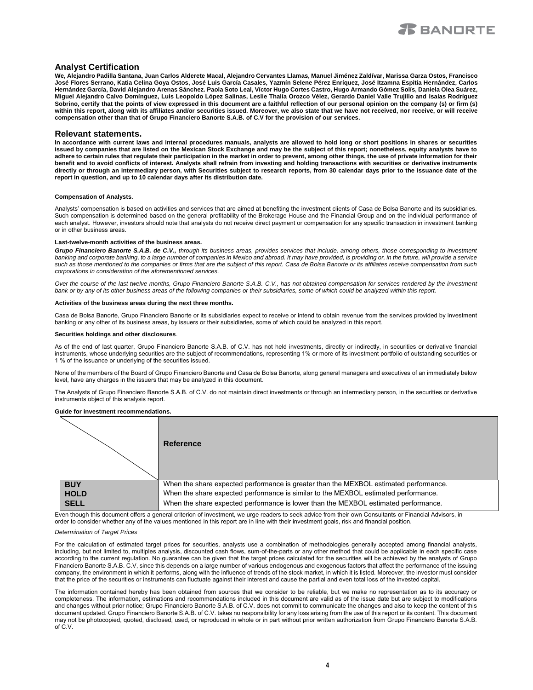

### **Analyst Certification**

**We, Alejandro Padilla Santana, Juan Carlos Alderete Macal, Alejandro Cervantes Llamas, Manuel Jiménez Zaldívar, Marissa Garza Ostos, Francisco José Flores Serrano, Katia Celina Goya Ostos, José Luis García Casales, Yazmín Selene Pérez Enríquez, José Itzamna Espitia Hernández, Carlos Hernández García, David Alejandro Arenas Sánchez. Paola Soto Leal, Víctor Hugo Cortes Castro, Hugo Armando Gómez Solís, Daniela Olea Suárez, Miguel Alejandro Calvo Domínguez, Luis Leopoldo López Salinas, Leslie Thalía Orozco Vélez, Gerardo Daniel Valle Trujillo and Isaías Rodríguez**  Sobrino, certify that the points of view expressed in this document are a faithful reflection of our personal opinion on the company (s) or firm (s) within this report, along with its affiliates and/or securities issued. Moreover, we also state that we have not received, nor receive, or will receive **compensation other than that of Grupo Financiero Banorte S.A.B. of C.V for the provision of our services.**

#### **Relevant statements.**

**In accordance with current laws and internal procedures manuals, analysts are allowed to hold long or short positions in shares or securities issued by companies that are listed on the Mexican Stock Exchange and may be the subject of this report; nonetheless, equity analysts have to adhere to certain rules that regulate their participation in the market in order to prevent, among other things, the use of private information for their benefit and to avoid conflicts of interest. Analysts shall refrain from investing and holding transactions with securities or derivative instruments directly or through an intermediary person, with Securities subject to research reports, from 30 calendar days prior to the issuance date of the report in question, and up to 10 calendar days after its distribution date.**

#### **Compensation of Analysts.**

Analysts' compensation is based on activities and services that are aimed at benefiting the investment clients of Casa de Bolsa Banorte and its subsidiaries. Such compensation is determined based on the general profitability of the Brokerage House and the Financial Group and on the individual performance of each analyst. However, investors should note that analysts do not receive direct payment or compensation for any specific transaction in investment banking or in other business areas.

#### **Last-twelve-month activities of the business areas.**

*Grupo Financiero Banorte S.A.B. de C.V., through its business areas, provides services that include, among others, those corresponding to investment*  banking and corporate banking, to a large number of companies in Mexico and abroad. It may have provided, is providing or, in the future, will provide a service *such as those mentioned to the companies or firms that are the subject of this report. Casa de Bolsa Banorte or its affiliates receive compensation from such corporations in consideration of the aforementioned services.*

*Over the course of the last twelve months, Grupo Financiero Banorte S.A.B. C.V., has not obtained compensation for services rendered by the investment bank or by any of its other business areas of the following companies or their subsidiaries, some of which could be analyzed within this report.*

#### **Activities of the business areas during the next three months.**

Casa de Bolsa Banorte, Grupo Financiero Banorte or its subsidiaries expect to receive or intend to obtain revenue from the services provided by investment banking or any other of its business areas, by issuers or their subsidiaries, some of which could be analyzed in this report.

#### **Securities holdings and other disclosures**.

As of the end of last quarter, Grupo Financiero Banorte S.A.B. of C.V. has not held investments, directly or indirectly, in securities or derivative financial instruments, whose underlying securities are the subject of recommendations, representing 1% or more of its investment portfolio of outstanding securities or 1 % of the issuance or underlying of the securities issued.

None of the members of the Board of Grupo Financiero Banorte and Casa de Bolsa Banorte, along general managers and executives of an immediately below level, have any charges in the issuers that may be analyzed in this document.

The Analysts of Grupo Financiero Banorte S.A.B. of C.V. do not maintain direct investments or through an intermediary person, in the securities or derivative instruments object of this analysis report.

#### **Guide for investment recommendations.**

|             | Reference                                                                                                                                                                                                                             |
|-------------|---------------------------------------------------------------------------------------------------------------------------------------------------------------------------------------------------------------------------------------|
| <b>BUY</b>  | When the share expected performance is greater than the MEXBOL estimated performance.                                                                                                                                                 |
| <b>HOLD</b> | When the share expected performance is similar to the MEXBOL estimated performance.                                                                                                                                                   |
| <b>SELL</b> | When the share expected performance is lower than the MEXBOL estimated performance.<br>Ford Morral Mic document office a decoral admitse of becomercial compared and controlled the first Morral Communication of Firewald Waldege to |

Even though this document offers a general criterion of investment, we urge readers to seek advice from their own Consultants or Financial Advisors, in order to consider whether any of the values mentioned in this report are in line with their investment goals, risk and financial position.

#### *Determination of Target Prices*

For the calculation of estimated target prices for securities, analysts use a combination of methodologies generally accepted among financial analysts, including, but not limited to, multiples analysis, discounted cash flows, sum-of-the-parts or any other method that could be applicable in each specific case according to the current regulation. No guarantee can be given that the target prices calculated for the securities will be achieved by the analysts of Grupo Financiero Banorte S.A.B. C.V, since this depends on a large number of various endogenous and exogenous factors that affect the performance of the issuing company, the environment in which it performs, along with the influence of trends of the stock market, in which it is listed. Moreover, the investor must consider that the price of the securities or instruments can fluctuate against their interest and cause the partial and even total loss of the invested capital.

The information contained hereby has been obtained from sources that we consider to be reliable, but we make no representation as to its accuracy or completeness. The information, estimations and recommendations included in this document are valid as of the issue date but are subject to modifications and changes without prior notice; Grupo Financiero Banorte S.A.B. of C.V. does not commit to communicate the changes and also to keep the content of this document updated. Grupo Financiero Banorte S.A.B. of C.V. takes no responsibility for any loss arising from the use of this report or its content. This document may not be photocopied, quoted, disclosed, used, or reproduced in whole or in part without prior written authorization from Grupo Financiero Banorte S.A.B. of C.V.